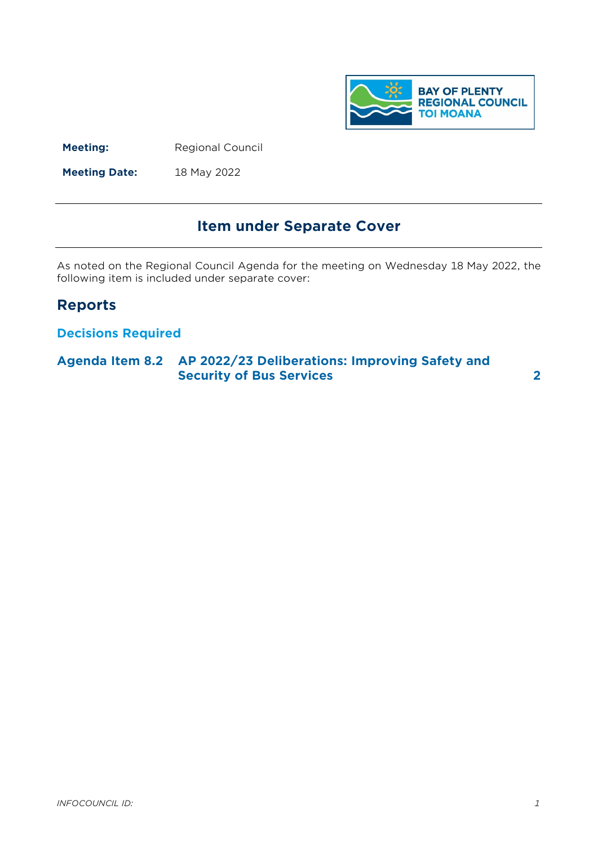

**Meeting:** Regional Council

**Meeting Date:** 18 May 2022

# **Item under Separate Cover**

As noted on the Regional Council Agenda for the meeting on Wednesday 18 May 2022, the following item is included under separate cover:

# **Reports**

# **Decisions Required**

# **Agenda Item 8.2 AP 2022/23 Deliberations: Improving Safety and Security of Bus Services [2](#page-1-0)**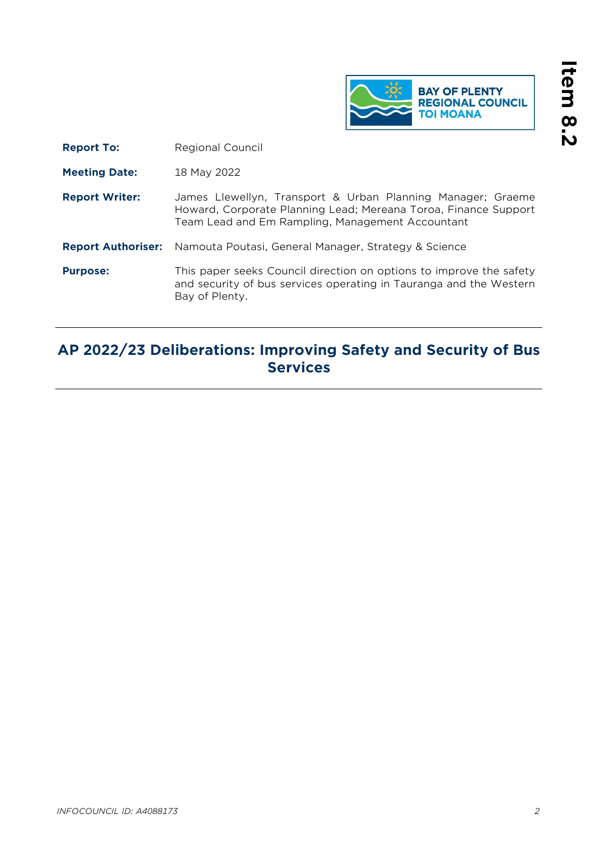

<span id="page-1-0"></span>**Report To:** Regional Council

**Meeting Date:** 18 May 2022

- **Report Writer:** James Llewellyn, Transport & Urban Planning Manager; Graeme Howard, Corporate Planning Lead; Mereana Toroa, Finance Support Team Lead and Em Rampling, Management Accountant
- **Report Authoriser:** Namouta Poutasi, General Manager, Strategy & Science
- **Purpose:** This paper seeks Council direction on options to improve the safety and security of bus services operating in Tauranga and the Western Bay of Plenty.

# **AP 2022/23 Deliberations: Improving Safety and Security of Bus Services**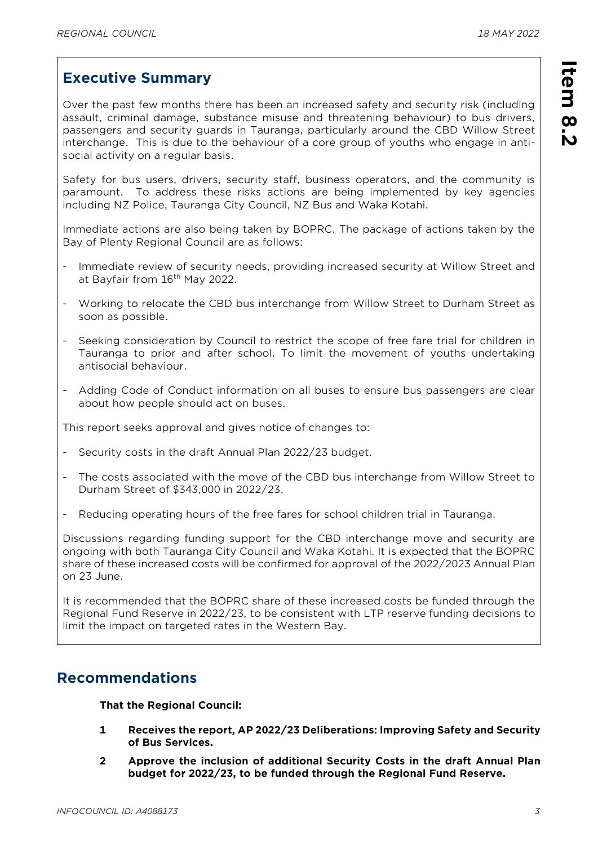**Item 8.2** 

Item 8.2

# **Executive Summary**

Over the past few months there has been an increased safety and security risk (including assault, criminal damage, substance misuse and threatening behaviour) to bus drivers, passengers and security guards in Tauranga, particularly around the CBD Willow Street interchange. This is due to the behaviour of a core group of youths who engage in antisocial activity on a regular basis.

Safety for bus users, drivers, security staff, business operators, and the community is paramount. To address these risks actions are being implemented by key agencies including NZ Police, Tauranga City Council, NZ Bus and Waka Kotahi.

Immediate actions are also being taken by BOPRC. The package of actions taken by the Bay of Plenty Regional Council are as follows:

- Immediate review of security needs, providing increased security at Willow Street and at Bayfair from 16<sup>th</sup> May 2022.
- Working to relocate the CBD bus interchange from Willow Street to Durham Street as soon as possible.
- Seeking consideration by Council to restrict the scope of free fare trial for children in Tauranga to prior and after school. To limit the movement of youths undertaking antisocial behaviour.
- Adding Code of Conduct information on all buses to ensure bus passengers are clear about how people should act on buses.

This report seeks approval and gives notice of changes to:

- Security costs in the draft Annual Plan 2022/23 budget.
- The costs associated with the move of the CBD bus interchange from Willow Street to Durham Street of \$343,000 in 2022/23.
- Reducing operating hours of the free fares for school children trial in Tauranga.

Discussions regarding funding support for the CBD interchange move and security are ongoing with both Tauranga City Council and Waka Kotahi. It is expected that the BOPRC share of these increased costs will be confirmed for approval of the 2022/2023 Annual Plan on 23 June.

It is recommended that the BOPRC share of these increased costs be funded through the Regional Fund Reserve in 2022/23, to be consistent with LTP reserve funding decisions to limit the impact on targeted rates in the Western Bay.

# **Recommendations**

**That the Regional Council:**

- **1 Receives the report, AP 2022/23 Deliberations: Improving Safety and Security of Bus Services.**
- **2 Approve the inclusion of additional Security Costs in the draft Annual Plan budget for 2022/23, to be funded through the Regional Fund Reserve.**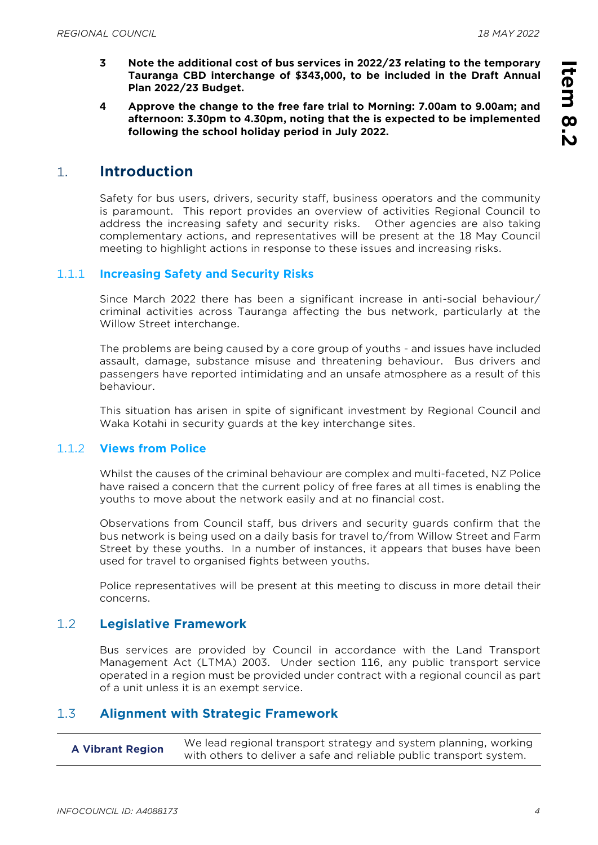**Item 8.2** 

Item<br>
8.2

- **3 Note the additional cost of bus services in 2022/23 relating to the temporary Tauranga CBD interchange of \$343,000, to be included in the Draft Annual Plan 2022/23 Budget.**
- **4 Approve the change to the free fare trial to Morning: 7.00am to 9.00am; and afternoon: 3.30pm to 4.30pm, noting that the is expected to be implemented following the school holiday period in July 2022.**

# 1. **Introduction**

Safety for bus users, drivers, security staff, business operators and the community is paramount. This report provides an overview of activities Regional Council to address the increasing safety and security risks. Other agencies are also taking complementary actions, and representatives will be present at the 18 May Council meeting to highlight actions in response to these issues and increasing risks.

#### 1.1.1 **Increasing Safety and Security Risks**

Since March 2022 there has been a significant increase in anti-social behaviour/ criminal activities across Tauranga affecting the bus network, particularly at the Willow Street interchange.

The problems are being caused by a core group of youths - and issues have included assault, damage, substance misuse and threatening behaviour. Bus drivers and passengers have reported intimidating and an unsafe atmosphere as a result of this behaviour.

This situation has arisen in spite of significant investment by Regional Council and Waka Kotahi in security guards at the key interchange sites.

#### 1.1.2 **Views from Police**

Whilst the causes of the criminal behaviour are complex and multi-faceted, NZ Police have raised a concern that the current policy of free fares at all times is enabling the youths to move about the network easily and at no financial cost.

Observations from Council staff, bus drivers and security guards confirm that the bus network is being used on a daily basis for travel to/from Willow Street and Farm Street by these youths. In a number of instances, it appears that buses have been used for travel to organised fights between youths.

Police representatives will be present at this meeting to discuss in more detail their concerns.

#### 1.2 **Legislative Framework**

Bus services are provided by Council in accordance with the Land Transport Management Act (LTMA) 2003. Under section 116, any public transport service operated in a region must be provided under contract with a regional council as part of a unit unless it is an exempt service.

#### 1.3 **Alignment with Strategic Framework**

| <b>A Vibrant Region</b> | We lead regional transport strategy and system planning, working    |
|-------------------------|---------------------------------------------------------------------|
|                         | with others to deliver a safe and reliable public transport system. |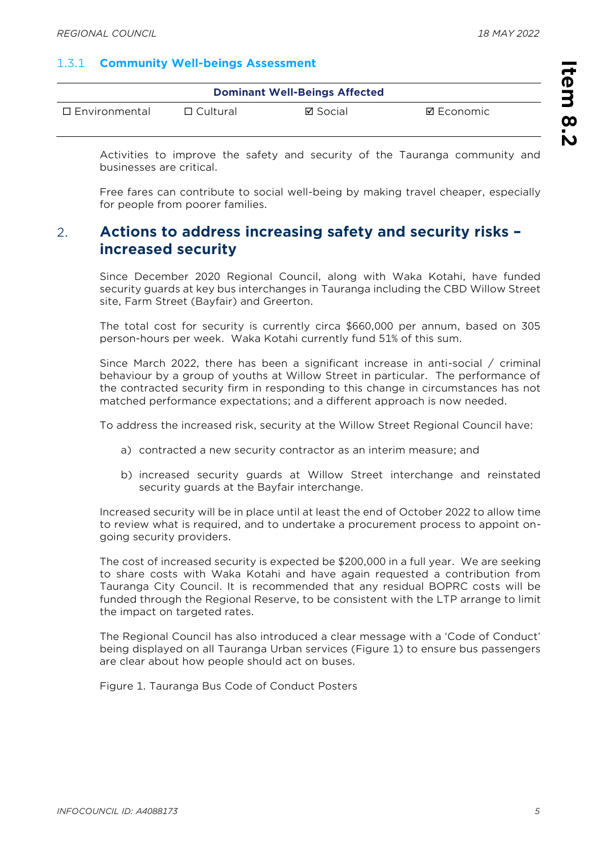# 1.3.1 **Community Well-beings Assessment**

| <b>Dominant Well-Beings Affected</b> |                 |          |            |  |  |
|--------------------------------------|-----------------|----------|------------|--|--|
| $\Box$ Environmental                 | $\Box$ Cultural | ⊠ Social | ⊠ Economic |  |  |

Activities to improve the safety and security of the Tauranga community and businesses are critical.

Free fares can contribute to social well-being by making travel cheaper, especially for people from poorer families.

# 2. **Actions to address increasing safety and security risks – increased security**

Since December 2020 Regional Council, along with Waka Kotahi, have funded security guards at key bus interchanges in Tauranga including the CBD Willow Street site, Farm Street (Bayfair) and Greerton.

The total cost for security is currently circa \$660,000 per annum, based on 305 person-hours per week. Waka Kotahi currently fund 51% of this sum.

Since March 2022, there has been a significant increase in anti-social / criminal behaviour by a group of youths at Willow Street in particular. The performance of the contracted security firm in responding to this change in circumstances has not matched performance expectations; and a different approach is now needed.

To address the increased risk, security at the Willow Street Regional Council have:

- a) contracted a new security contractor as an interim measure; and
- b) increased security guards at Willow Street interchange and reinstated security guards at the Bayfair interchange.

Increased security will be in place until at least the end of October 2022 to allow time to review what is required, and to undertake a procurement process to appoint ongoing security providers.

The cost of increased security is expected be \$200,000 in a full year. We are seeking to share costs with Waka Kotahi and have again requested a contribution from Tauranga City Council. It is recommended that any residual BOPRC costs will be funded through the Regional Reserve, to be consistent with the LTP arrange to limit the impact on targeted rates.

The Regional Council has also introduced a clear message with a 'Code of Conduct' being displayed on all Tauranga Urban services (Figure 1) to ensure bus passengers are clear about how people should act on buses.

Figure 1. Tauranga Bus Code of Conduct Posters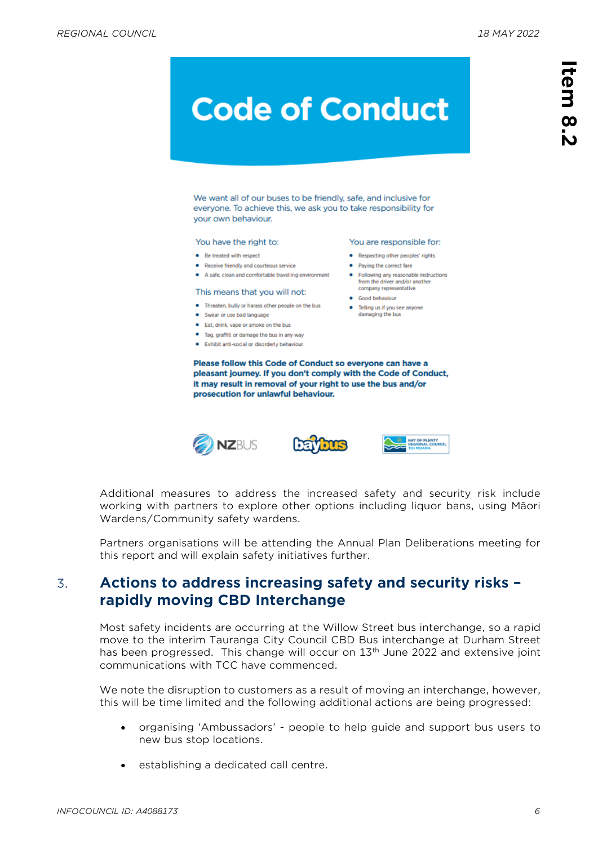# **Code of Conduct**

We want all of our buses to be friendly, safe, and inclusive for everyone. To achieve this, we ask you to take responsibility for your own behaviour.

#### You have the right to:

- · Re-treated with respect
- Receive friendly and courteous service
- A safe, clean and comfortable travelling environment

#### This means that you will not:

- . Threaten, bully or harass other people on the bus
- Swear or use bad language
- Eat, drink, vape or smoke on the bus
- · Tag, graffiti or damage the bus in any way
- · Exhibit anti-social or disorderly behaviour

Please follow this Code of Conduct so everyone can have a pleasant journey. If you don't comply with the Code of Conduct, it may result in removal of your right to use the bus and/or prosecution for unlawful behaviour.







You are responsible for:

• Following any reasonable instructions from the driver and/or another company representative

• Respecting other peoples' rights

• Paying the correct fare

• Telling us if you see anyone

damaging the bus

· Good behaviour

Additional measures to address the increased safety and security risk include working with partners to explore other options including liquor bans, using Māori Wardens/Community safety wardens.

Partners organisations will be attending the Annual Plan Deliberations meeting for this report and will explain safety initiatives further.

# 3. **Actions to address increasing safety and security risks – rapidly moving CBD Interchange**

Most safety incidents are occurring at the Willow Street bus interchange, so a rapid move to the interim Tauranga City Council CBD Bus interchange at Durham Street has been progressed. This change will occur on 13<sup>th</sup> June 2022 and extensive joint communications with TCC have commenced.

We note the disruption to customers as a result of moving an interchange, however, this will be time limited and the following additional actions are being progressed:

- organising 'Ambussadors' people to help guide and support bus users to new bus stop locations.
- establishing a dedicated call centre.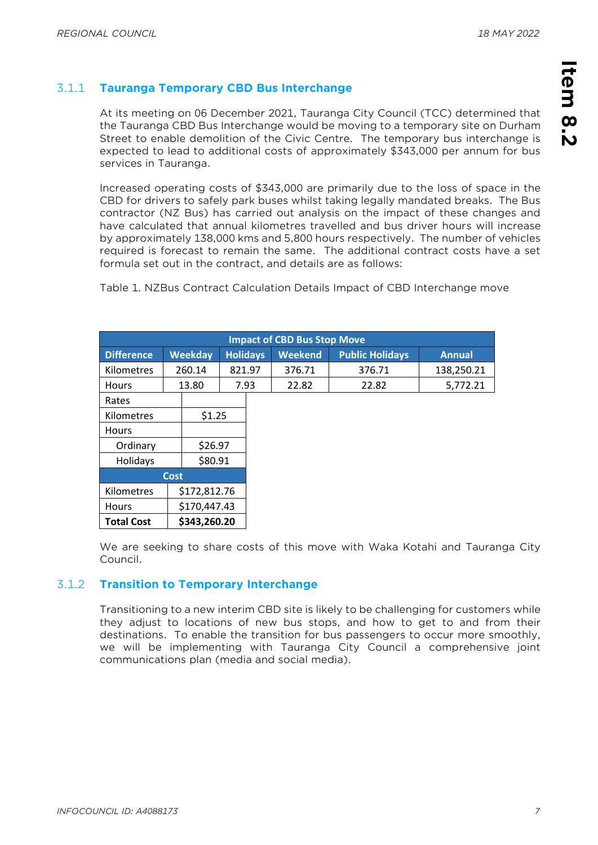# **Item 8.2**  Item 8.2

# 3.1.1 **Tauranga Temporary CBD Bus Interchange**

At its meeting on 06 December 2021, Tauranga City Council (TCC) determined that the Tauranga CBD Bus Interchange would be moving to a temporary site on Durham Street to enable demolition of the Civic Centre. The temporary bus interchange is expected to lead to additional costs of approximately \$343,000 per annum for bus services in Tauranga.

Increased operating costs of \$343,000 are primarily due to the loss of space in the CBD for drivers to safely park buses whilst taking legally mandated breaks. The Bus contractor (NZ Bus) has carried out analysis on the impact of these changes and have calculated that annual kilometres travelled and bus driver hours will increase by approximately 138,000 kms and 5,800 hours respectively. The number of vehicles required is forecast to remain the same. The additional contract costs have a set formula set out in the contract, and details are as follows:

Table 1. NZBus Contract Calculation Details Impact of CBD Interchange move

| <b>Impact of CBD Bus Stop Move</b> |                |               |                 |  |                |                        |               |
|------------------------------------|----------------|---------------|-----------------|--|----------------|------------------------|---------------|
| <b>Difference</b>                  | <b>Weekday</b> |               | <b>Holidays</b> |  | <b>Weekend</b> | <b>Public Holidays</b> | <b>Annual</b> |
| <b>Kilometres</b>                  |                | 260.14        | 821.97          |  | 376.71         | 376.71                 | 138,250.21    |
| <b>Hours</b>                       |                | 13.80<br>7.93 |                 |  | 22.82          | 22.82                  | 5,772.21      |
| Rates                              |                |               |                 |  |                |                        |               |
| Kilometres                         |                | \$1.25        |                 |  |                |                        |               |
| <b>Hours</b>                       |                |               |                 |  |                |                        |               |
| Ordinary                           |                | \$26.97       |                 |  |                |                        |               |
| Holidays                           |                | \$80.91       |                 |  |                |                        |               |
| <b>Cost</b>                        |                |               |                 |  |                |                        |               |
| Kilometres                         |                | \$172,812.76  |                 |  |                |                        |               |
| <b>Hours</b>                       |                | \$170,447.43  |                 |  |                |                        |               |
| \$343,260.20<br><b>Total Cost</b>  |                |               |                 |  |                |                        |               |

We are seeking to share costs of this move with Waka Kotahi and Tauranga City Council.

# 3.1.2 **Transition to Temporary Interchange**

Transitioning to a new interim CBD site is likely to be challenging for customers while they adjust to locations of new bus stops, and how to get to and from their destinations. To enable the transition for bus passengers to occur more smoothly, we will be implementing with Tauranga City Council a comprehensive joint communications plan (media and social media).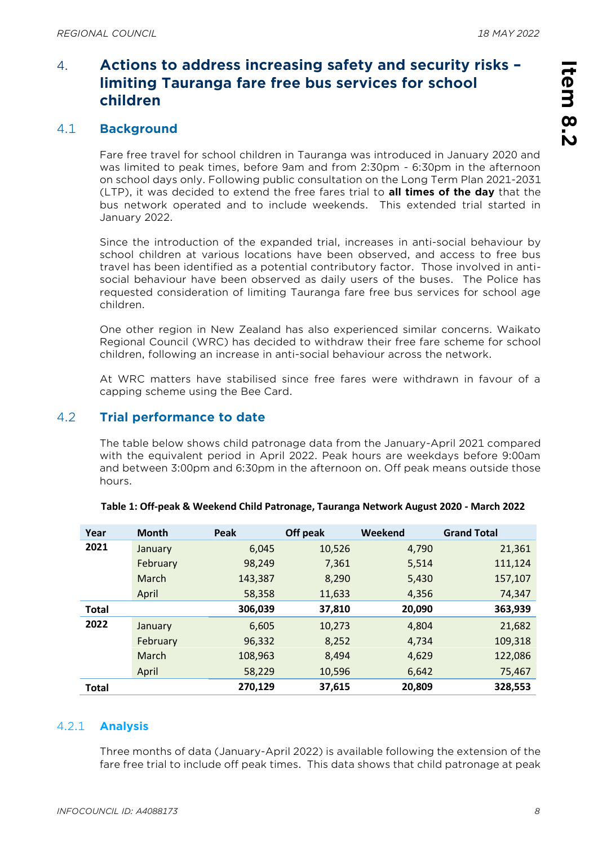# 4. **Actions to address increasing safety and security risks – limiting Tauranga fare free bus services for school children**

# 4.1 **Background**

Fare free travel for school children in Tauranga was introduced in January 2020 and was limited to peak times, before 9am and from 2:30pm - 6:30pm in the afternoon on school days only. Following public consultation on the Long Term Plan 2021-2031 (LTP), it was decided to extend the free fares trial to **all times of the day** that the bus network operated and to include weekends. This extended trial started in January 2022.

Since the introduction of the expanded trial, increases in anti-social behaviour by school children at various locations have been observed, and access to free bus travel has been identified as a potential contributory factor. Those involved in antisocial behaviour have been observed as daily users of the buses. The Police has requested consideration of limiting Tauranga fare free bus services for school age children.

One other region in New Zealand has also experienced similar concerns. Waikato Regional Council (WRC) has decided to withdraw their free fare scheme for school children, following an increase in anti-social behaviour across the network.

At WRC matters have stabilised since free fares were withdrawn in favour of a capping scheme using the Bee Card.

# 4.2 **Trial performance to date**

The table below shows child patronage data from the January-April 2021 compared with the equivalent period in April 2022. Peak hours are weekdays before 9:00am and between 3:00pm and 6:30pm in the afternoon on. Off peak means outside those hours.

| Year         | <b>Month</b> | Peak    | Off peak | Weekend | <b>Grand Total</b> |
|--------------|--------------|---------|----------|---------|--------------------|
| 2021         | January      | 6,045   | 10,526   | 4,790   | 21,361             |
|              | February     | 98,249  | 7,361    | 5,514   | 111,124            |
|              | March        | 143,387 | 8,290    | 5,430   | 157,107            |
|              | April        | 58,358  | 11,633   | 4,356   | 74,347             |
| <b>Total</b> |              | 306,039 | 37,810   | 20,090  | 363,939            |
| 2022         | January      | 6,605   | 10,273   | 4,804   | 21,682             |
|              | February     | 96,332  | 8,252    | 4,734   | 109,318            |
|              | <b>March</b> | 108,963 | 8,494    | 4,629   | 122,086            |
|              | April        | 58,229  | 10,596   | 6,642   | 75,467             |
| <b>Total</b> |              | 270,129 | 37,615   | 20,809  | 328,553            |

#### **Table 1: Off-peak & Weekend Child Patronage, Tauranga Network August 2020 - March 2022**

#### 4.2.1 **Analysis**

Three months of data (January-April 2022) is available following the extension of the fare free trial to include off peak times. This data shows that child patronage at peak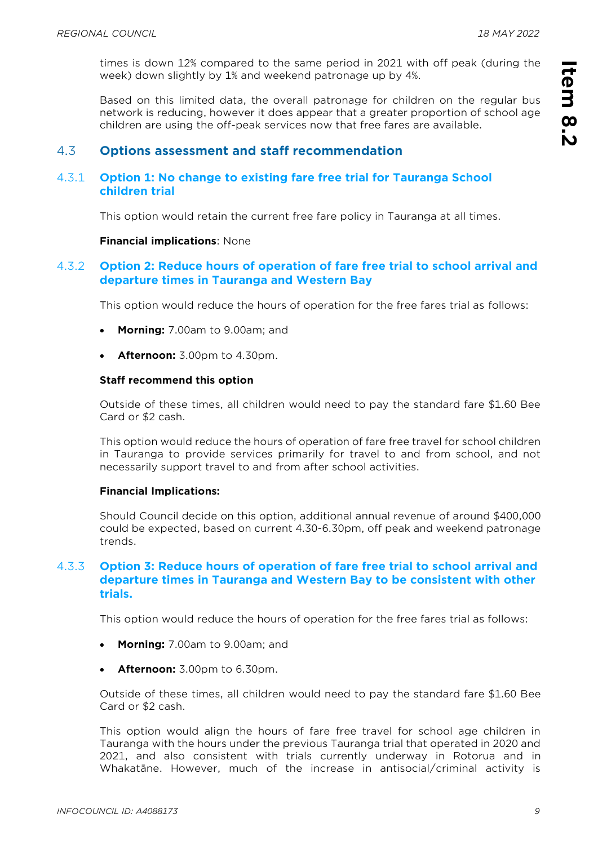times is down 12% compared to the same period in 2021 with off peak (during the week) down slightly by 1% and weekend patronage up by 4%.

Based on this limited data, the overall patronage for children on the regular bus network is reducing, however it does appear that a greater proportion of school age children are using the off-peak services now that free fares are available.

#### 4.3 **Options assessment and staff recommendation**

#### 4.3.1 **Option 1: No change to existing fare free trial for Tauranga School children trial**

This option would retain the current free fare policy in Tauranga at all times.

#### **Financial implications**: None

#### 4.3.2 **Option 2: Reduce hours of operation of fare free trial to school arrival and departure times in Tauranga and Western Bay**

This option would reduce the hours of operation for the free fares trial as follows:

- **Morning:** 7.00am to 9.00am; and
- **Afternoon:** 3.00pm to 4.30pm.

#### **Staff recommend this option**

Outside of these times, all children would need to pay the standard fare \$1.60 Bee Card or \$2 cash.

This option would reduce the hours of operation of fare free travel for school children in Tauranga to provide services primarily for travel to and from school, and not necessarily support travel to and from after school activities.

#### **Financial Implications:**

Should Council decide on this option, additional annual revenue of around \$400,000 could be expected, based on current 4.30-6.30pm, off peak and weekend patronage trends.

#### 4.3.3 **Option 3: Reduce hours of operation of fare free trial to school arrival and departure times in Tauranga and Western Bay to be consistent with other trials.**

This option would reduce the hours of operation for the free fares trial as follows:

- **Morning:** 7.00am to 9.00am; and
- **Afternoon:** 3.00pm to 6.30pm.

Outside of these times, all children would need to pay the standard fare \$1.60 Bee Card or \$2 cash.

This option would align the hours of fare free travel for school age children in Tauranga with the hours under the previous Tauranga trial that operated in 2020 and 2021, and also consistent with trials currently underway in Rotorua and in Whakatāne. However, much of the increase in antisocial/criminal activity is **Item 8.2** 

Item 8.2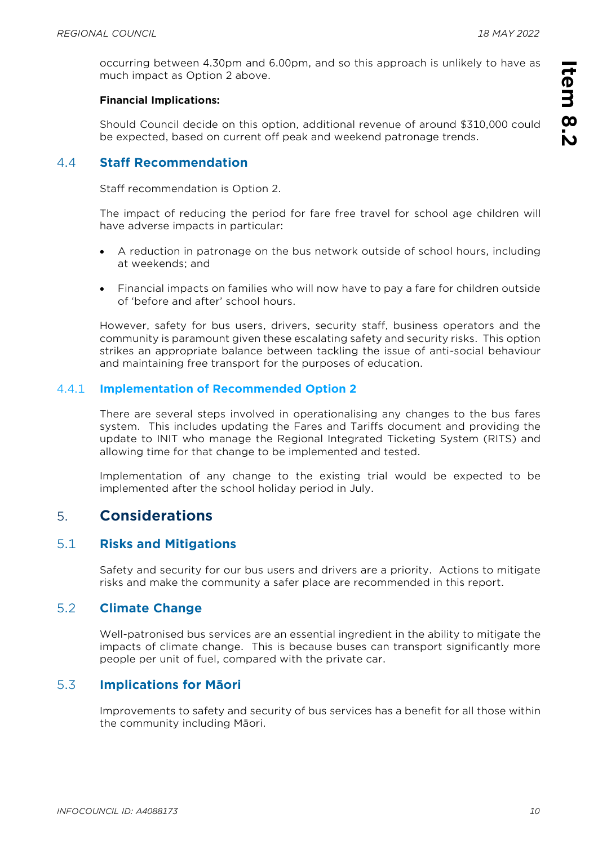**Item 8.2** 

Item 8.2

occurring between 4.30pm and 6.00pm, and so this approach is unlikely to have as much impact as Option 2 above.

#### **Financial Implications:**

Should Council decide on this option, additional revenue of around \$310,000 could be expected, based on current off peak and weekend patronage trends.

# 4.4 **Staff Recommendation**

Staff recommendation is Option 2.

The impact of reducing the period for fare free travel for school age children will have adverse impacts in particular:

- A reduction in patronage on the bus network outside of school hours, including at weekends; and
- Financial impacts on families who will now have to pay a fare for children outside of 'before and after' school hours.

However, safety for bus users, drivers, security staff, business operators and the community is paramount given these escalating safety and security risks. This option strikes an appropriate balance between tackling the issue of anti-social behaviour and maintaining free transport for the purposes of education.

#### 4.4.1 **Implementation of Recommended Option 2**

There are several steps involved in operationalising any changes to the bus fares system. This includes updating the Fares and Tariffs document and providing the update to INIT who manage the Regional Integrated Ticketing System (RITS) and allowing time for that change to be implemented and tested.

Implementation of any change to the existing trial would be expected to be implemented after the school holiday period in July.

# 5. **Considerations**

#### 5.1 **Risks and Mitigations**

Safety and security for our bus users and drivers are a priority. Actions to mitigate risks and make the community a safer place are recommended in this report.

## 5.2 **Climate Change**

Well-patronised bus services are an essential ingredient in the ability to mitigate the impacts of climate change. This is because buses can transport significantly more people per unit of fuel, compared with the private car.

# 5.3 **Implications for Māori**

Improvements to safety and security of bus services has a benefit for all those within the community including Māori.